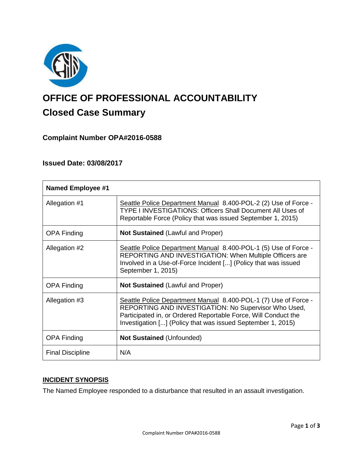

# **OFFICE OF PROFESSIONAL ACCOUNTABILITY Closed Case Summary**

# **Complaint Number OPA#2016-0588**

## **Issued Date: 03/08/2017**

| <b>Named Employee #1</b> |                                                                                                                                                                                                                                                          |
|--------------------------|----------------------------------------------------------------------------------------------------------------------------------------------------------------------------------------------------------------------------------------------------------|
| Allegation #1            | Seattle Police Department Manual 8.400-POL-2 (2) Use of Force -<br>TYPE I INVESTIGATIONS: Officers Shall Document All Uses of<br>Reportable Force (Policy that was issued September 1, 2015)                                                             |
| <b>OPA Finding</b>       | <b>Not Sustained (Lawful and Proper)</b>                                                                                                                                                                                                                 |
| Allegation #2            | Seattle Police Department Manual 8.400-POL-1 (5) Use of Force -<br><b>REPORTING AND INVESTIGATION: When Multiple Officers are</b><br>Involved in a Use-of-Force Incident [] (Policy that was issued<br>September 1, 2015)                                |
| <b>OPA Finding</b>       | <b>Not Sustained (Lawful and Proper)</b>                                                                                                                                                                                                                 |
| Allegation #3            | Seattle Police Department Manual 8.400-POL-1 (7) Use of Force -<br>REPORTING AND INVESTIGATION: No Supervisor Who Used,<br>Participated in, or Ordered Reportable Force, Will Conduct the<br>Investigation [] (Policy that was issued September 1, 2015) |
| <b>OPA Finding</b>       | <b>Not Sustained (Unfounded)</b>                                                                                                                                                                                                                         |
| <b>Final Discipline</b>  | N/A                                                                                                                                                                                                                                                      |

# **INCIDENT SYNOPSIS**

The Named Employee responded to a disturbance that resulted in an assault investigation.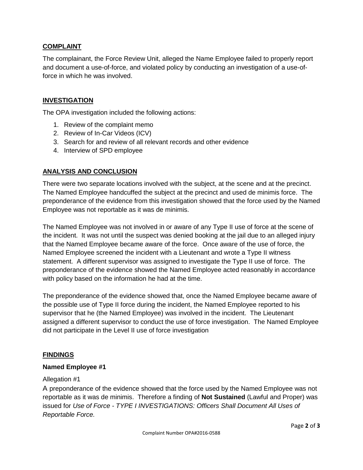#### **COMPLAINT**

The complainant, the Force Review Unit, alleged the Name Employee failed to properly report and document a use-of-force, and violated policy by conducting an investigation of a use-offorce in which he was involved.

### **INVESTIGATION**

The OPA investigation included the following actions:

- 1. Review of the complaint memo
- 2. Review of In-Car Videos (ICV)
- 3. Search for and review of all relevant records and other evidence
- 4. Interview of SPD employee

#### **ANALYSIS AND CONCLUSION**

There were two separate locations involved with the subject, at the scene and at the precinct. The Named Employee handcuffed the subject at the precinct and used de minimis force. The preponderance of the evidence from this investigation showed that the force used by the Named Employee was not reportable as it was de minimis.

The Named Employee was not involved in or aware of any Type II use of force at the scene of the incident. It was not until the suspect was denied booking at the jail due to an alleged injury that the Named Employee became aware of the force. Once aware of the use of force, the Named Employee screened the incident with a Lieutenant and wrote a Type II witness statement. A different supervisor was assigned to investigate the Type II use of force. The preponderance of the evidence showed the Named Employee acted reasonably in accordance with policy based on the information he had at the time.

The preponderance of the evidence showed that, once the Named Employee became aware of the possible use of Type II force during the incident, the Named Employee reported to his supervisor that he (the Named Employee) was involved in the incident. The Lieutenant assigned a different supervisor to conduct the use of force investigation. The Named Employee did not participate in the Level II use of force investigation

#### **FINDINGS**

#### **Named Employee #1**

#### Allegation #1

A preponderance of the evidence showed that the force used by the Named Employee was not reportable as it was de minimis. Therefore a finding of **Not Sustained** (Lawful and Proper) was issued for *Use of Force - TYPE I INVESTIGATIONS: Officers Shall Document All Uses of Reportable Force.*